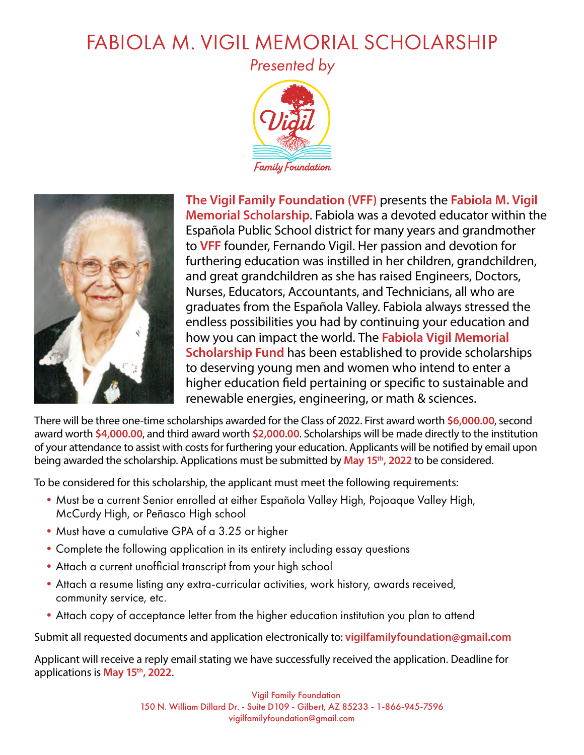## FABIOLA M. VIGIL MEMORIAL SCHOLARSHIP

*Presented by*





**The Vigil Family Foundation (VFF)** presents the **Fabiola M. Vigil Memorial Scholarship**. Fabiola was a devoted educator within the Española Public School district for many years and grandmother to **VFF** founder, Fernando Vigil. Her passion and devotion for furthering education was instilled in her children, grandchildren, and great grandchildren as she has raised Engineers, Doctors, Nurses, Educators, Accountants, and Technicians, all who are graduates from the Española Valley. Fabiola always stressed the endless possibilities you had by continuing your education and how you can impact the world. The **Fabiola Vigil Memorial Scholarship Fund** has been established to provide scholarships to deserving young men and women who intend to enter a higher education field pertaining or specific to sustainable and renewable energies, engineering, or math & sciences.

There will be three one-time scholarships awarded for the Class of 2022. First award worth **\$6,000.00**, second award worth **\$4,000.00**, and third award worth **\$2,000.00**. Scholarships will be made directly to the institution of your attendance to assist with costs for furthering your education. Applicants will be notified by email upon being awarded the scholarship. Applications must be submitted by **May 15th, 2022** to be considered.

To be considered for this scholarship, the applicant must meet the following requirements:

- •Must be a current Senior enrolled at either Española Valley High, Pojoaque Valley High, McCurdy High, or Peñasco High school
- Must have a cumulative GPA of a 3.25 or higher
- •Complete the following application in its entirety including essay questions
- •Attach a current unofficial transcript from your high school
- •Attach a resume listing any extra-curricular activities, work history, awards received, community service, etc.
- •Attach copy of acceptance letter from the higher education institution you plan to attend

Submit all requested documents and application electronically to: **[vigilfamilyfoundation@gmail.com](mailto:vigilfamilyfoundation%40gmail.com?subject=Vigil%20Family%20Foundation%20application)** 

Applicant will receive a reply email stating we have successfully received the application. Deadline for applications is **May 15th, 2022**.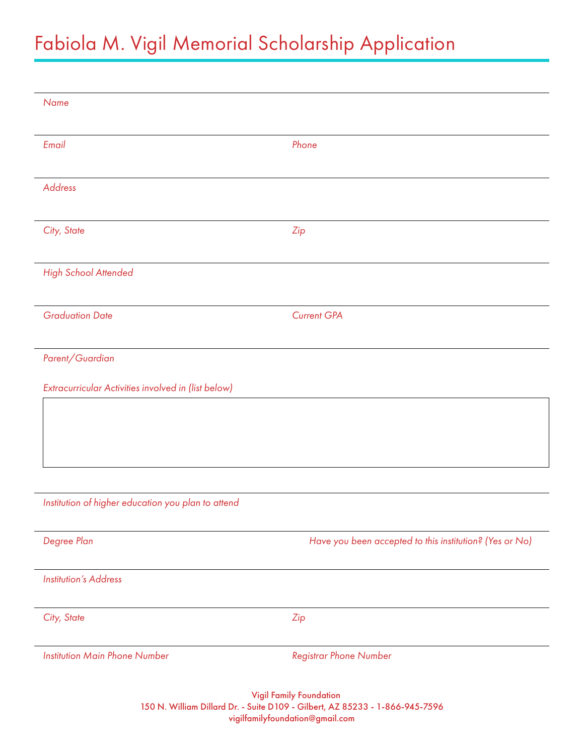## Fabiola M. Vigil Memorial Scholarship Application

| <b>Name</b>                                         |                                                         |
|-----------------------------------------------------|---------------------------------------------------------|
|                                                     |                                                         |
| Email                                               | Phone                                                   |
| <b>Address</b>                                      |                                                         |
|                                                     |                                                         |
| City, State                                         | Zip                                                     |
|                                                     |                                                         |
| <b>High School Attended</b>                         |                                                         |
|                                                     |                                                         |
| <b>Graduation Date</b>                              | <b>Current GPA</b>                                      |
| Parent/Guardian                                     |                                                         |
|                                                     |                                                         |
| Extracurricular Activities involved in (list below) |                                                         |
|                                                     |                                                         |
|                                                     |                                                         |
|                                                     |                                                         |
|                                                     |                                                         |
| Institution of higher education you plan to attend  |                                                         |
| Degree Plan                                         | Have you been accepted to this institution? (Yes or No) |
|                                                     |                                                         |
| <b>Institution's Address</b>                        |                                                         |
| City, State                                         | Zip                                                     |
|                                                     |                                                         |
| <b>Institution Main Phone Number</b>                | <b>Registrar Phone Number</b>                           |

Vigil Family Foundation 150 N. William Dillard Dr. - Suite D109 - Gilbert, AZ 85233 - 1-866-945-7596 vigilfamilyfoundation@gmail.com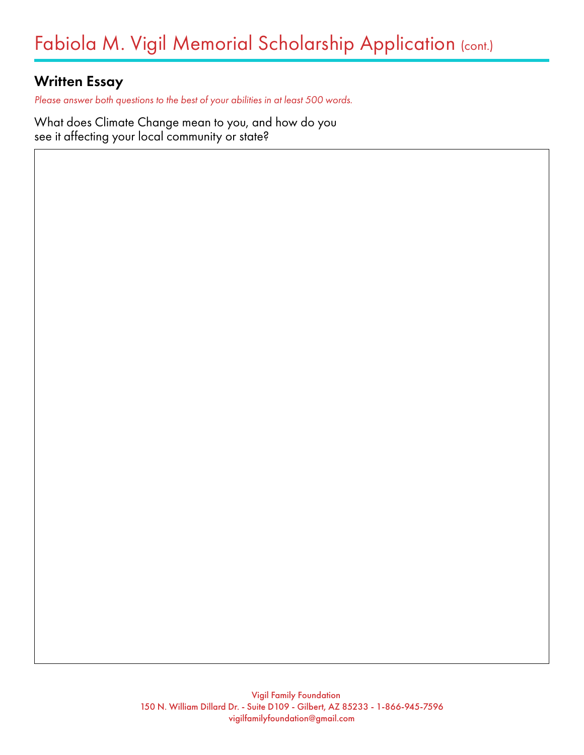## Written Essay

*Please answer both questions to the best of your abilities in at least 500 words.*

What does Climate Change mean to you, and how do you see it affecting your local community or state?